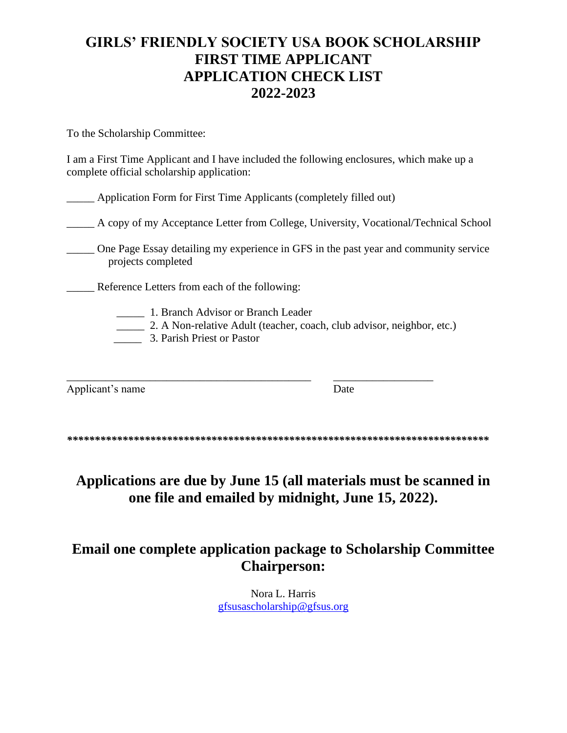## **GIRLS' FRIENDLY SOCIETY USA BOOK SCHOLARSHIP FIRST TIME APPLICANT APPLICATION CHECK LIST 2022-2023**

To the Scholarship Committee:

I am a First Time Applicant and I have included the following enclosures, which make up a complete official scholarship application:

\_\_\_\_\_ Application Form for First Time Applicants (completely filled out)

\_\_\_\_\_ A copy of my Acceptance Letter from College, University, Vocational/Technical School

\_\_\_\_\_ One Page Essay detailing my experience in GFS in the past year and community service projects completed

\_\_\_\_\_ Reference Letters from each of the following:

\_\_\_\_\_ 1. Branch Advisor or Branch Leader

\_\_\_\_\_ 2. A Non-relative Adult (teacher, coach, club advisor, neighbor, etc.)

\_\_\_\_\_ 3. Parish Priest or Pastor

Applicant's name Date

\_\_\_\_\_\_\_\_\_\_\_\_\_\_\_\_\_\_\_\_\_\_\_\_\_\_\_\_\_\_\_\_\_\_\_\_\_\_\_\_\_\_\_\_ \_\_\_\_\_\_\_\_\_\_\_\_\_\_\_\_\_\_

*\*\*\*\*\*\*\*\*\*\*\*\*\*\*\*\*\*\*\*\*\*\*\*\*\*\*\*\*\*\*\*\*\*\*\*\*\*\*\*\*\*\*\*\*\*\*\*\*\*\*\*\*\*\*\*\*\*\*\*\*\*\*\*\*\*\*\*\*\*\*\*\*\*\*\*\** 

**Applications are due by June 15 (all materials must be scanned in one file and emailed by midnight, June 15, 2022).**

## **Email one complete application package to Scholarship Committee Chairperson:**

Nora L. Harris [gfsusascholarship@gfsus.org](mailto:gfsusascholarship@gfsus.org)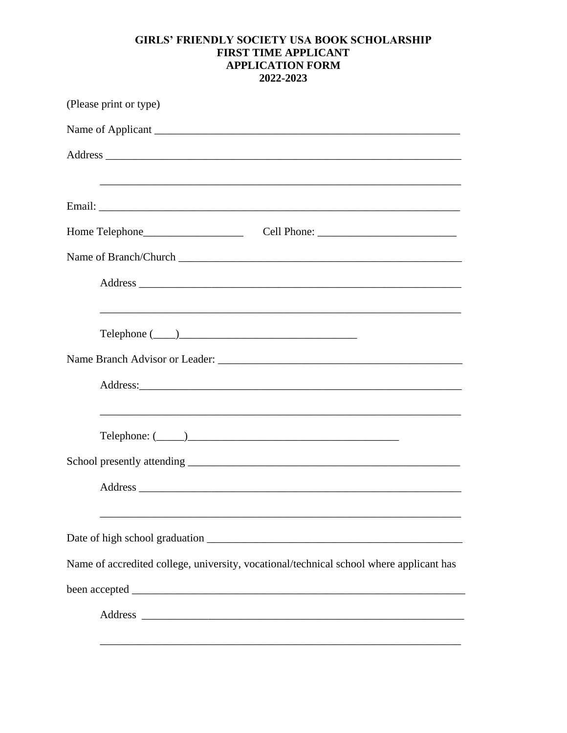## **GIRLS' FRIENDLY SOCIETY USA BOOK SCHOLARSHIP FIRST TIME APPLICANT APPLICATION FORM** 2022-2023

| (Please print or type)                                                                                                                                                                                                                                                                                                                                                                                                                                                                                                                                              |
|---------------------------------------------------------------------------------------------------------------------------------------------------------------------------------------------------------------------------------------------------------------------------------------------------------------------------------------------------------------------------------------------------------------------------------------------------------------------------------------------------------------------------------------------------------------------|
|                                                                                                                                                                                                                                                                                                                                                                                                                                                                                                                                                                     |
|                                                                                                                                                                                                                                                                                                                                                                                                                                                                                                                                                                     |
|                                                                                                                                                                                                                                                                                                                                                                                                                                                                                                                                                                     |
|                                                                                                                                                                                                                                                                                                                                                                                                                                                                                                                                                                     |
|                                                                                                                                                                                                                                                                                                                                                                                                                                                                                                                                                                     |
| Name of Branch/Church                                                                                                                                                                                                                                                                                                                                                                                                                                                                                                                                               |
|                                                                                                                                                                                                                                                                                                                                                                                                                                                                                                                                                                     |
|                                                                                                                                                                                                                                                                                                                                                                                                                                                                                                                                                                     |
| $\begin{tabular}{c} \textbf{Telephone} {\color{green} {\textbf{}}}\color{red} {\textbf{---}}\color{blue} {\color{green} {\textbf{---}}}\color{blue} {\textbf{---}}\color{blue} {\textbf{---}}\color{blue} {\textbf{---}}\color{blue} {\textbf{---}}\color{blue} {\textbf{---}}\color{blue} {\textbf{---}}\color{blue} {\textbf{---}}\color{blue} {\textbf{---}}\color{blue} {\textbf{---}}\color{blue} {\textbf{---}}\color{blue} {\textbf{---}}\color{blue} {\textbf{---}}\color{blue} {\textbf{---}}\color{blue} {\textbf{---}}\color{blue} {\textbf{---}}\color$ |
|                                                                                                                                                                                                                                                                                                                                                                                                                                                                                                                                                                     |
|                                                                                                                                                                                                                                                                                                                                                                                                                                                                                                                                                                     |
| $\text{Telephone: } (\_\_\_\_\_\_\_\_\_\_\_\_$                                                                                                                                                                                                                                                                                                                                                                                                                                                                                                                      |
|                                                                                                                                                                                                                                                                                                                                                                                                                                                                                                                                                                     |
|                                                                                                                                                                                                                                                                                                                                                                                                                                                                                                                                                                     |
|                                                                                                                                                                                                                                                                                                                                                                                                                                                                                                                                                                     |
| Name of accredited college, university, vocational/technical school where applicant has                                                                                                                                                                                                                                                                                                                                                                                                                                                                             |
|                                                                                                                                                                                                                                                                                                                                                                                                                                                                                                                                                                     |
|                                                                                                                                                                                                                                                                                                                                                                                                                                                                                                                                                                     |
|                                                                                                                                                                                                                                                                                                                                                                                                                                                                                                                                                                     |